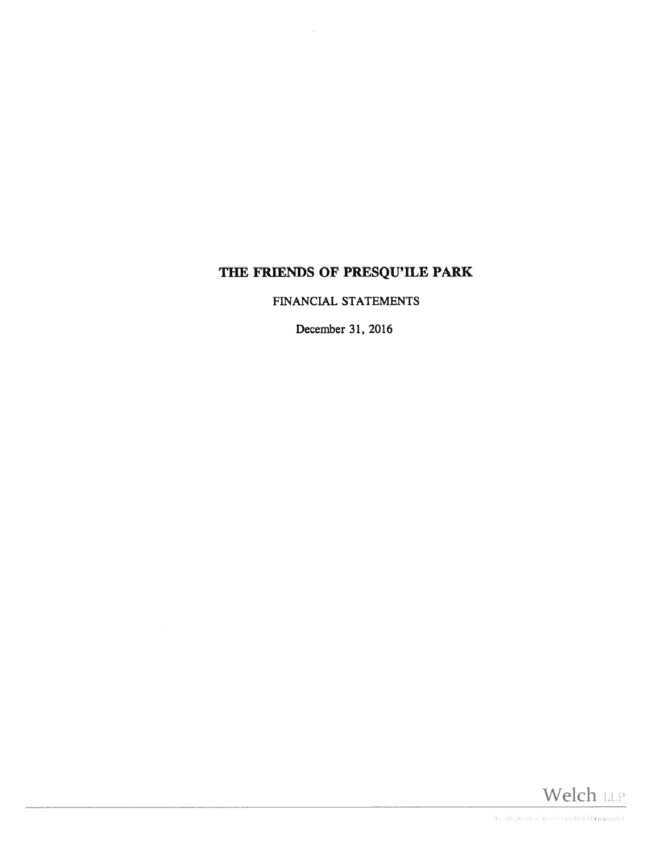FINANCIAL STATEMENTS

December 31, 2016

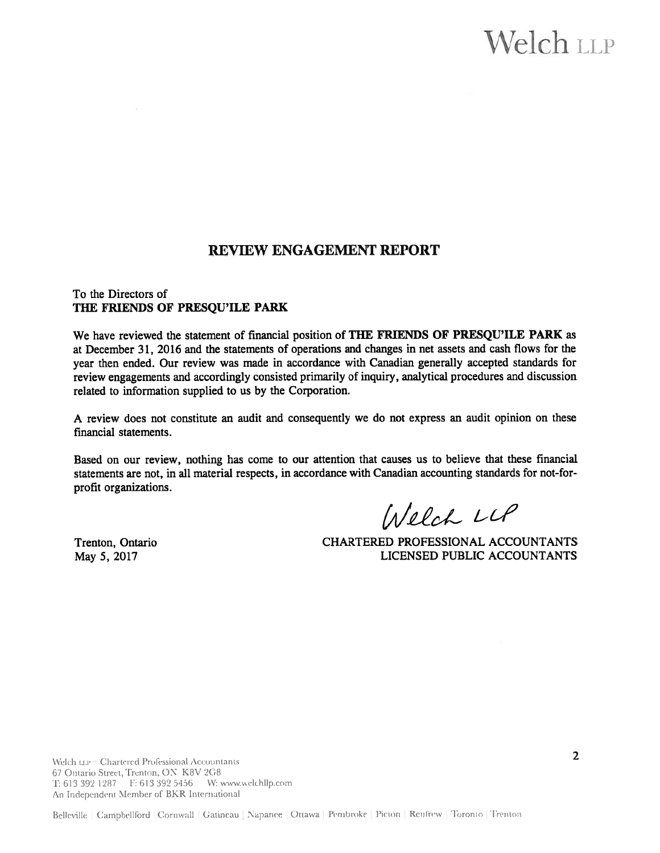# $N$ elch LLP

### REVIEW ENGAGEMENT REPORT

#### To the Directors of THE FRIENDS OF PRESQU'ILE PARK

We have reviewed the statement of financial position of THE FRIENDS OF PRESQU'ILE PARK as at December 31, 2016 and the statements of operations and changes in net assets and cash flows for the year then ended. Our review was made in accordance with Canadian generally accepted standards for review engagements and accordingly consisted primarily of inquiry, analytical procedures and discussion related to information supplied to us by the Corporation.

A review does not constitute an audit and consequently we do not express an audit opinion on these financial statements.

Based on our review, nothing has come to our attention that causes us to believe that these financial statements are not, in all material respects, in accordance with Canadian accounting standards for not-forprofit organizations.

Welch LLP

Trenton, Ontario CHARTERED PROFESSIONAL ACCOUNTANTS May 5, 2017 LICENSED PUBLIC ACCOUNTANTS

Welch  $\text{u}_i$  --Chartered Professional Accountants 2 67 Ontario Street, Trenton, ON K8V 2G8 T: 613 392 1287 F: 613 392 5456 W: www.welchllp.com An Independent Member of BKR International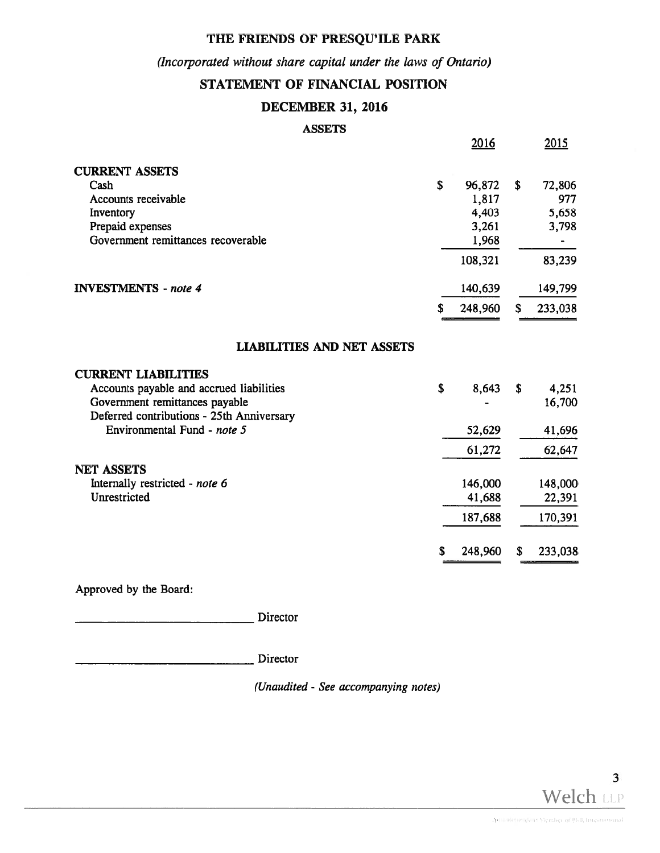### (Incorporated without share capital under the laws of Ontario)

### STATEMENT OF FINANCIAL POSITION

#### DECEMBER 31, 2016

#### ASSETS

|                                           |    | 2016    |    | <u>2015</u> |
|-------------------------------------------|----|---------|----|-------------|
| <b>CURRENT ASSETS</b>                     |    |         |    |             |
| Cash                                      | \$ | 96,872  | \$ | 72,806      |
| Accounts receivable                       |    | 1,817   |    | 977         |
| Inventory                                 |    | 4,403   |    | 5,658       |
| Prepaid expenses                          |    | 3,261   |    | 3,798       |
| Government remittances recoverable        |    | 1,968   |    |             |
|                                           |    | 108,321 |    | 83,239      |
| <b>INVESTMENTS</b> - note 4               |    | 140,639 |    | 149,799     |
|                                           | S  | 248,960 | S  | 233,038     |
| <b>LIABILITIES AND NET ASSETS</b>         |    |         |    |             |
| <b>CURRENT LIABILITIES</b>                |    |         |    |             |
| Accounts payable and accrued liabilities  | \$ | 8,643   | S  | 4,251       |
| Government remittances payable            |    |         |    | 16,700      |
| Deferred contributions - 25th Anniversary |    |         |    |             |
| Environmental Fund - note 5               |    | 52,629  |    | 41,696      |
|                                           |    | 61,272  |    | 62,647      |
| <b>NET ASSETS</b>                         |    |         |    |             |
| Internally restricted - note 6            |    | 146,000 |    | 148,000     |
| Unrestricted                              |    | 41,688  |    | 22,391      |
|                                           |    | 187,688 |    | 170,391     |
|                                           | \$ | 248,960 | S  | 233,038     |

Approved by the Board:

Director

Director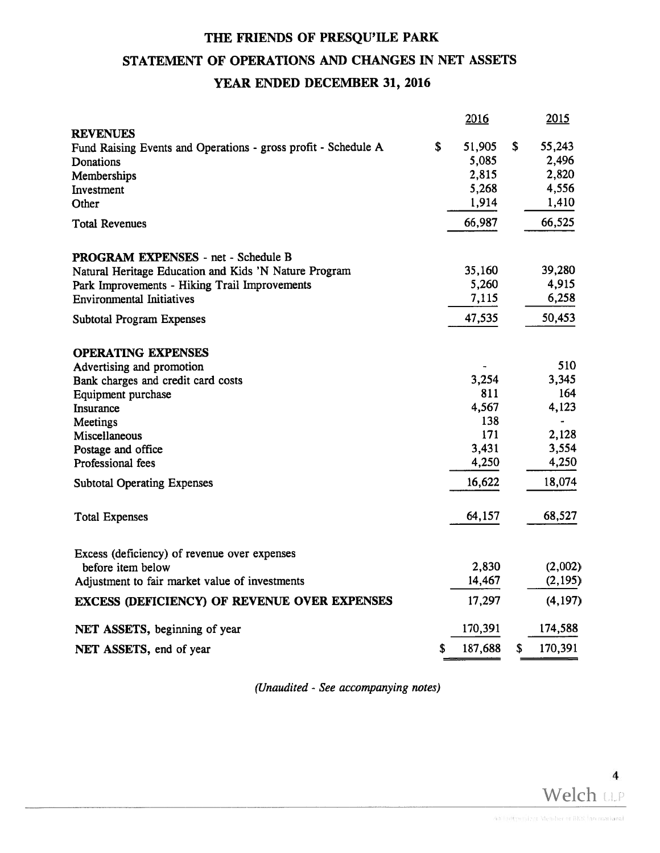# THE FRIENDS OF PRESQU'ILE PARK STATEMENT OF OPERATIONS AND CHANGES IN NET ASSETS YEAR ENDED DECEMBER 31, 2016

|                                                                                                                                                                                                                                               | 2016                                                            | 2015                                                                                          |
|-----------------------------------------------------------------------------------------------------------------------------------------------------------------------------------------------------------------------------------------------|-----------------------------------------------------------------|-----------------------------------------------------------------------------------------------|
| <b>REVENUES</b><br>Fund Raising Events and Operations - gross profit - Schedule A<br>Donations<br>Memberships<br>Investment<br>Other                                                                                                          | \$<br>51,905<br>5,085<br>2,815<br>5,268<br>1,914                | \$<br>55,243<br>2,496<br>2,820<br>4,556<br>1,410                                              |
| <b>Total Revenues</b>                                                                                                                                                                                                                         | 66,987                                                          | 66,525                                                                                        |
| PROGRAM EXPENSES - net - Schedule B<br>Natural Heritage Education and Kids 'N Nature Program<br>Park Improvements - Hiking Trail Improvements<br><b>Environmental Initiatives</b>                                                             | 35,160<br>5,260<br>7,115                                        | 39,280<br>4,915<br>6,258                                                                      |
| <b>Subtotal Program Expenses</b>                                                                                                                                                                                                              | 47,535                                                          | 50,453                                                                                        |
| <b>OPERATING EXPENSES</b><br>Advertising and promotion<br>Bank charges and credit card costs<br>Equipment purchase<br>Insurance<br>Meetings<br>Miscellaneous<br>Postage and office<br>Professional fees<br><b>Subtotal Operating Expenses</b> | 3,254<br>811<br>4,567<br>138<br>171<br>3,431<br>4,250<br>16,622 | 510<br>3,345<br>164<br>4,123<br>$\overline{\phantom{a}}$<br>2,128<br>3,554<br>4,250<br>18,074 |
| <b>Total Expenses</b>                                                                                                                                                                                                                         | 64,157                                                          | 68,527                                                                                        |
| Excess (deficiency) of revenue over expenses<br>before item below<br>Adjustment to fair market value of investments<br><b>EXCESS (DEFICIENCY) OF REVENUE OVER EXPENSES</b>                                                                    | 2,830<br>14,467<br>17,297                                       | (2,002)<br>(2, 195)<br>(4, 197)                                                               |
| NET ASSETS, beginning of year                                                                                                                                                                                                                 | 170,391                                                         | 174,588                                                                                       |
| NET ASSETS, end of year                                                                                                                                                                                                                       | \$<br>187,688                                                   | \$<br>170,391                                                                                 |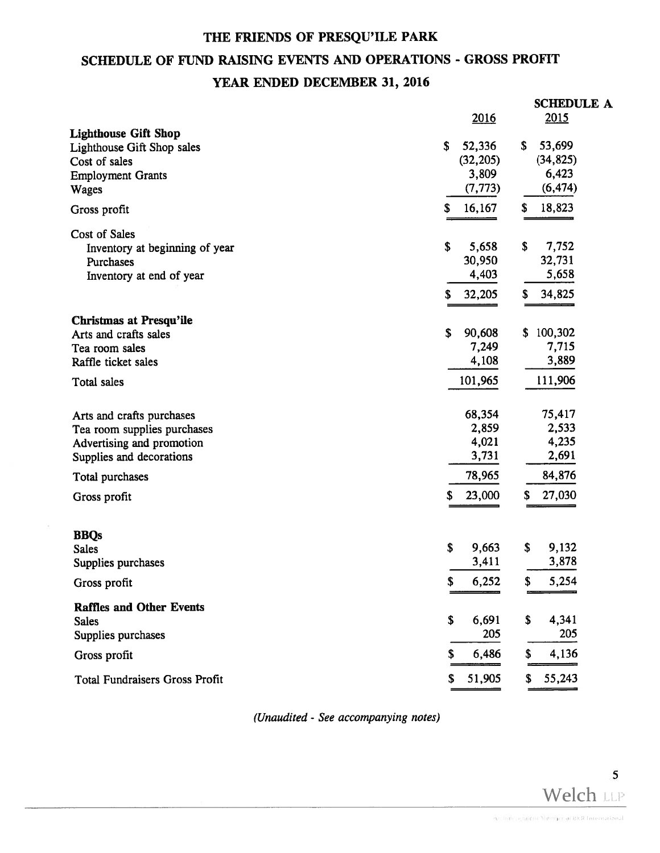# SCHEDULE OF FUND RAISING EVENTS AND OPERATIONS - GROSS PROFIT

### YEAR ENDED DECEMBER 31, 2016

|                                       | 2016         | <b>SCHEDULE A</b><br>2015 |
|---------------------------------------|--------------|---------------------------|
| <b>Lighthouse Gift Shop</b>           |              |                           |
| Lighthouse Gift Shop sales            | 52,336<br>\$ | \$<br>53,699              |
| Cost of sales                         | (32, 205)    | (34, 825)                 |
| <b>Employment Grants</b>              | 3,809        | 6,423                     |
| <b>Wages</b>                          | (7, 773)     | (6, 474)                  |
| Gross profit                          | 16,167<br>\$ | \$<br>18,823              |
| Cost of Sales                         |              |                           |
| Inventory at beginning of year        | \$<br>5,658  | \$<br>7,752               |
| Purchases                             | 30,950       | 32,731                    |
| Inventory at end of year              | 4,403        | 5,658                     |
|                                       |              |                           |
|                                       | 32,205<br>S  | 34,825<br>\$              |
| <b>Christmas at Presqu'ile</b>        |              |                           |
| Arts and crafts sales                 | \$<br>90,608 | \$100,302                 |
| Tea room sales                        | 7,249        | 7,715                     |
| Raffle ticket sales                   | 4,108        | 3,889                     |
| Total sales                           | 101,965      | 111,906                   |
|                                       |              |                           |
| Arts and crafts purchases             | 68,354       | 75,417                    |
| Tea room supplies purchases           | 2,859        | 2,533                     |
| Advertising and promotion             | 4,021        | 4,235                     |
| Supplies and decorations              | 3,731        | 2,691                     |
| Total purchases                       | 78,965       | 84,876                    |
| Gross profit                          | \$<br>23,000 | \$<br>27,030              |
|                                       |              |                           |
| <b>BBQs</b>                           |              |                           |
| <b>Sales</b>                          | \$<br>9,663  | 9,132<br>\$               |
| Supplies purchases                    | 3,411        | 3,878                     |
| Gross profit                          | \$<br>6,252  | 5,254<br>\$               |
|                                       |              |                           |
| <b>Raffles and Other Events</b>       | \$           | \$<br>4,341               |
| <b>Sales</b>                          | 6,691<br>205 | 205                       |
| Supplies purchases                    |              |                           |
| Gross profit                          | 6,486<br>S   | 4,136<br>\$               |
| <b>Total Fundraisers Gross Profit</b> | 51,905<br>\$ | 55,243<br>\$              |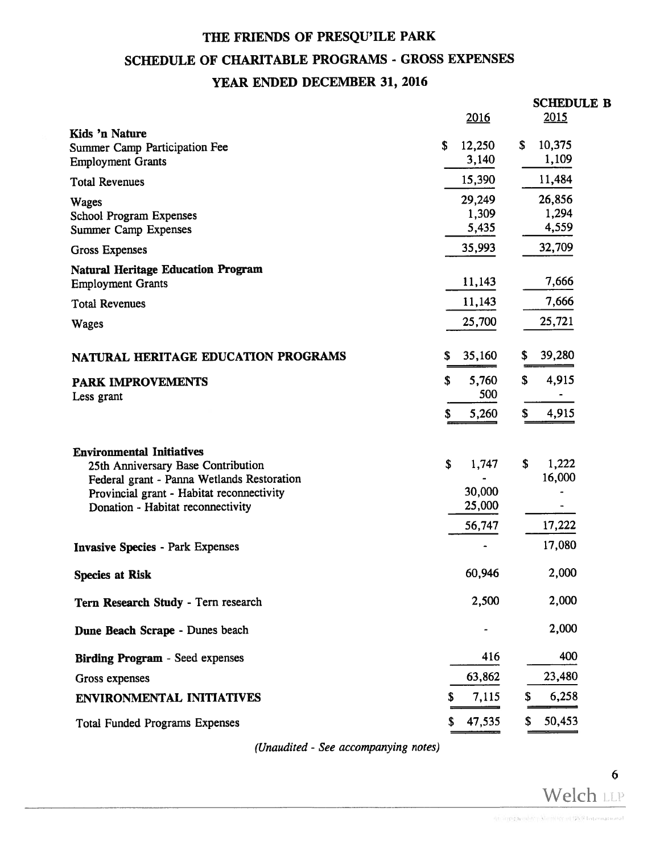## SCHEDULE OF CHARITABLE PROGRAMS - GROSS EXPENSES

## YEAR ENDED DECEMBER 31, 2016

|                                                                                                                                                                                                        | 2016                                      | <b>SCHEDULE B</b><br>2015       |
|--------------------------------------------------------------------------------------------------------------------------------------------------------------------------------------------------------|-------------------------------------------|---------------------------------|
| Kids 'n Nature<br><b>Summer Camp Participation Fee</b><br><b>Employment Grants</b>                                                                                                                     | 12,250<br>\$<br>3,140                     | \$<br>10,375<br>1,109           |
| <b>Total Revenues</b>                                                                                                                                                                                  | 15,390                                    | 11,484                          |
| <b>Wages</b><br><b>School Program Expenses</b><br><b>Summer Camp Expenses</b>                                                                                                                          | 29,249<br>1,309<br>5,435                  | 26,856<br>1,294<br>4,559        |
| <b>Gross Expenses</b>                                                                                                                                                                                  | 35,993                                    | 32,709                          |
| <b>Natural Heritage Education Program</b><br><b>Employment Grants</b>                                                                                                                                  | 11,143                                    | 7,666                           |
| <b>Total Revenues</b>                                                                                                                                                                                  | 11,143                                    | 7,666                           |
| <b>Wages</b>                                                                                                                                                                                           | 25,700                                    | 25,721                          |
| NATURAL HERITAGE EDUCATION PROGRAMS                                                                                                                                                                    | \$<br>35,160                              | 39,280<br>\$                    |
| <b>PARK IMPROVEMENTS</b>                                                                                                                                                                               | \$<br>5,760                               | 4,915<br>\$                     |
| Less grant                                                                                                                                                                                             | 500<br>\$<br>5,260                        | \$<br>4,915                     |
| <b>Environmental Initiatives</b><br>25th Anniversary Base Contribution<br>Federal grant - Panna Wetlands Restoration<br>Provincial grant - Habitat reconnectivity<br>Donation - Habitat reconnectivity | \$<br>1,747<br>30,000<br>25,000<br>56,747 | 1,222<br>\$<br>16,000<br>17,222 |
| <b>Invasive Species - Park Expenses</b>                                                                                                                                                                |                                           | 17,080                          |
| <b>Species at Risk</b>                                                                                                                                                                                 | 60,946                                    | 2,000                           |
| Tern Research Study - Tern research                                                                                                                                                                    | 2,500                                     | 2,000                           |
| Dune Beach Scrape - Dunes beach                                                                                                                                                                        |                                           | 2,000                           |
| <b>Birding Program - Seed expenses</b>                                                                                                                                                                 | 416                                       | 400                             |
| Gross expenses                                                                                                                                                                                         | 63,862                                    | 23,480                          |
| <b>ENVIRONMENTAL INITIATIVES</b>                                                                                                                                                                       | 7,115<br>\$                               | 6,258<br>S                      |
| <b>Total Funded Programs Expenses</b>                                                                                                                                                                  | 47,535<br>\$                              | 50,453<br>S                     |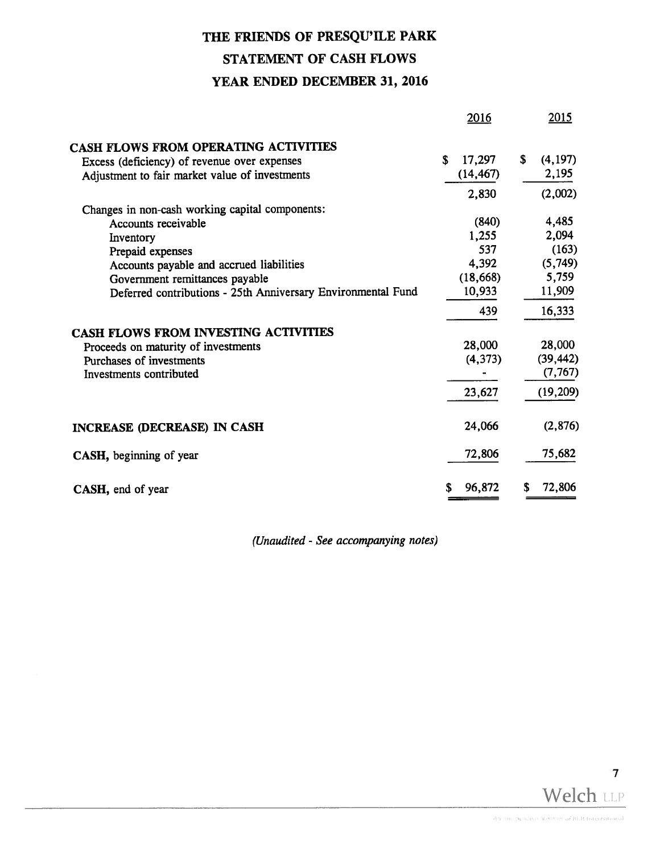# STATEMENT OF CASH FLOWS

### YEAR ENDED DECEMBER 31, 2016

|                                                              | 2016         | 2015          |
|--------------------------------------------------------------|--------------|---------------|
| CASH FLOWS FROM OPERATING ACTIVITIES                         |              |               |
| Excess (deficiency) of revenue over expenses                 | \$<br>17,297 | (4, 197)<br>S |
| Adjustment to fair market value of investments               | (14, 467)    | 2,195         |
|                                                              | 2,830        | (2,002)       |
| Changes in non-cash working capital components:              |              |               |
| Accounts receivable                                          | (840)        | 4,485         |
| Inventory                                                    | 1,255        | 2,094         |
| Prepaid expenses                                             | 537          | (163)         |
| Accounts payable and accrued liabilities                     | 4,392        | (5,749)       |
| Government remittances payable                               | (18, 668)    | 5,759         |
| Deferred contributions - 25th Anniversary Environmental Fund | 10,933       | 11,909        |
|                                                              | 439          | 16,333        |
| CASH FLOWS FROM INVESTING ACTIVITIES                         |              |               |
| Proceeds on maturity of investments                          | 28,000       | 28,000        |
| Purchases of investments                                     | (4, 373)     | (39, 442)     |
| Investments contributed                                      |              | (7, 767)      |
|                                                              | 23,627       | (19, 209)     |
| <b>INCREASE (DECREASE) IN CASH</b>                           | 24,066       | (2,876)       |
| CASH, beginning of year                                      | 72,806       | 75,682        |
| CASH, end of year                                            | 96,872<br>S  | 72,806<br>\$  |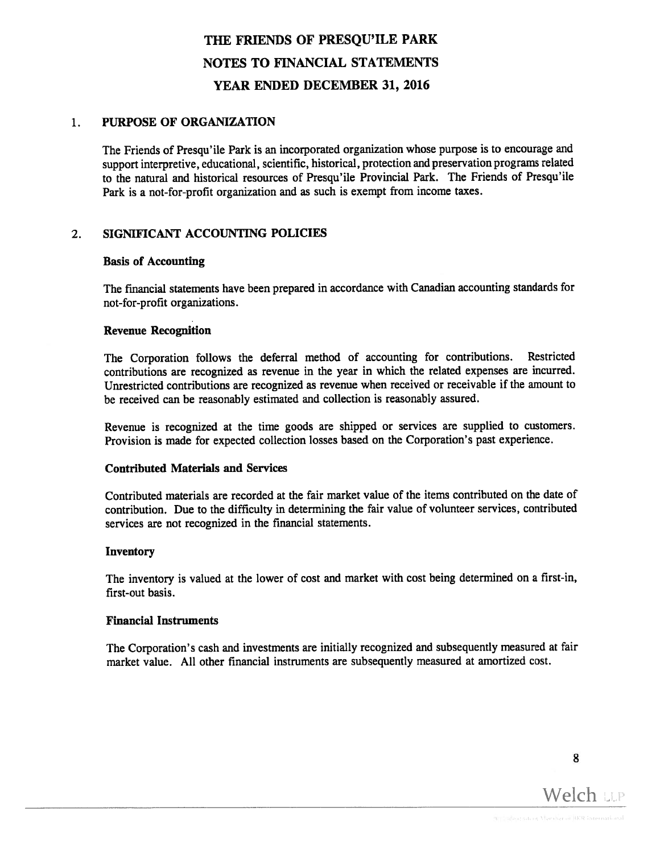#### PURPOSE OF ORGANIZATION  $1<sub>1</sub>$

The Friends of Presqu'ile Park is an incorporated organization whose purpose is to encourage and suppor<sup>t</sup> interpretive, educational, scientific, historical, protection and preservation programs related to the natural and historical resources of Presqu'ile Provincial Park. The Friends of Presqu'ile Park is <sup>a</sup> not-for-profit organization and as such is exemp<sup>t</sup> from income taxes.

#### 2. SIGNIFICANT ACCOUNTING POLICIES

#### Basis of Accounting

The fmancial statements have been prepare<sup>d</sup> in accordance with Canadian accounting standards for not-for-profit organizations.

#### Revenue Recognition

The Corporation follows the deferral method of accounting for contributions. Restricted contributions are recognized as revenue in the year in which the related expenses are incurred. Unrestricted contributions are recognized as revenue when received or receivable if the amount to be received can be reasonably estimated and collection is reasonably assured.

Revenue is recognized at the time goods are shipped or services are supplied to customers. Provision is made for expected collection losses based on the Corporation's pas<sup>t</sup> experience.

#### Contributed Materials and Services

Contributed materials are recorded at the fair market value of the items contributed on the date of contribution. Due to the difficulty in determining the fair value of volunteer services, contributed services are not recognized in the financial statements.

#### **Inventory**

The inventory is valued at the lower of cost and market with cost being determined on <sup>a</sup> first-in, first-out basis.

#### **Financial Instruments**

The Corporation's cash and investments are initially recognized and subsequently measured at fair market value. All other financial instruments are subsequently measured at amortized cost.

8

Welch LLP

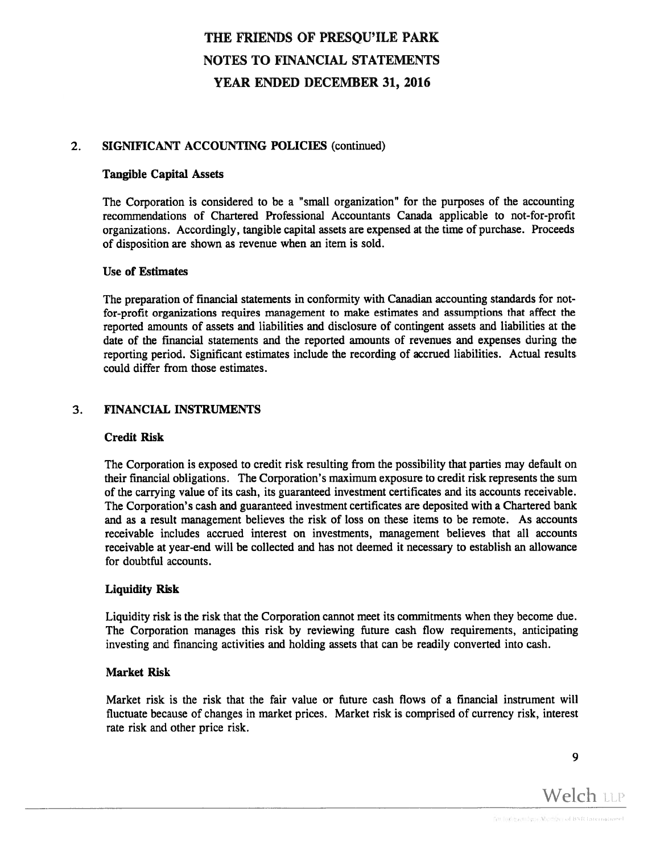#### 2. SIGNIFICANT ACCOUNTING POLICIES (continued)

#### Tangible Capital Assets

The Corporation is considered to be <sup>a</sup> "small organization" for the purposes of the accounting recommendations of Chartered Professional Accountants Canada applicable to not-for-profit organizations. Accordingly, tangible capital assets are expensed at the time of purchase. Proceeds of disposition are shown as revenue when an item is sold.

#### Use of Estimates

The preparation of financial statements in conformity with Canadian accounting standards for notfor-profit organizations requires managemen<sup>t</sup> to make estimates and assumptions that affect the reported amounts of assets and liabilities and disclosure of contingent assets and liabilities at the date of the financial statements and the reported amounts of revenues and expenses during the reporting period. Significant estimates include the recording of accrued liabilities. Actual results could differ from those estimates.

#### 3. FINANCIAL INSTRUMENTS

#### Credit Risk

The Corporation is exposed to credit risk resulting from the possibility that parties may default on their financial obligations. The Corporation's maximum exposure to credit risk represents the sum of the carrying value of its cash, its guaranteed investment certificates and its accounts receivable. The Corporation's cash and guaranteed investment certificates are deposited with <sup>a</sup> Chartered bank and as <sup>a</sup> result managemen<sup>t</sup> believes the risk of loss on these items to be remote. As accounts receivable includes accrued interest on investments, managemen<sup>t</sup> believes that all accounts receivable at year-end will be collected and has not deemed it necessary to establish an allowance for doubtful accounts.

#### Liquidity Risk

Liquidity risk is the risk that the Corporation cannot meet its commitments when they become due. The Corporation manages this risk by reviewing future cash flow requirements, anticipating investing and financing activities and holding assets that can be readily converted into cash.

#### Market Risk

Market risk is the risk that the fair value or future cash flows of <sup>a</sup> financial instrument will fluctuate because of changes in market prices. Market risk is comprised of currency risk, interest rate risk and other price risk.

9

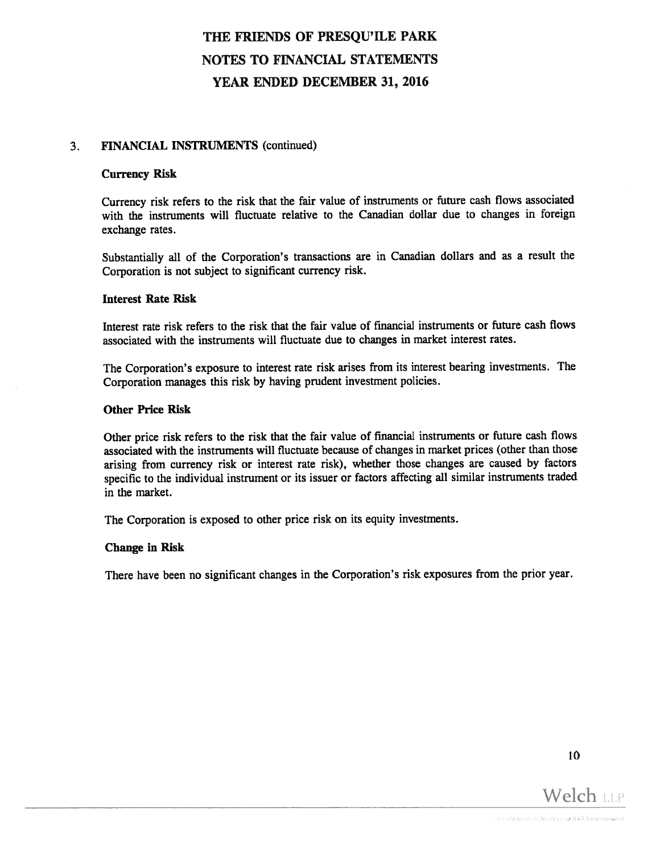#### 3. FINANCIAL INSTRUMENTS (continued)

#### Currency Risk

Currency risk refers to the risk that the fair value of instruments or future cash flows associated with the instruments will fluctuate relative to the Canadian dollar due to changes in foreign exchange rates.

Substantially all of the Corporation's transactions are in Canadian dollars and as <sup>a</sup> result the Corporation is not subject to significant currency risk.

#### Interest Rate Risk

Interest rate risk refers to the risk that the fair value of financial instruments or future cash flows associated with the instruments will fluctuate due to changes in market interest rates.

The Corporation's exposure to interest rate risk arises from its interest bearing investments. The Corporation manages this risk by having prudent investment policies.

#### Other Price Risk

Other price risk refers to the risk that the fair value of financial instruments or future cash flows associated with the instruments will fluctuate because of changes in market prices (other than those arising from currency risk or interest rate risk), whether those changes are caused by factors specific to the individual instrument or its issuer or factors affecting all similar instruments traded in the market.

The Corporation is expose<sup>d</sup> to other price risk on its equity investments.

#### Change in Risk

There have been no significant changes in the Corporation's risk exposures from the prior year.

10

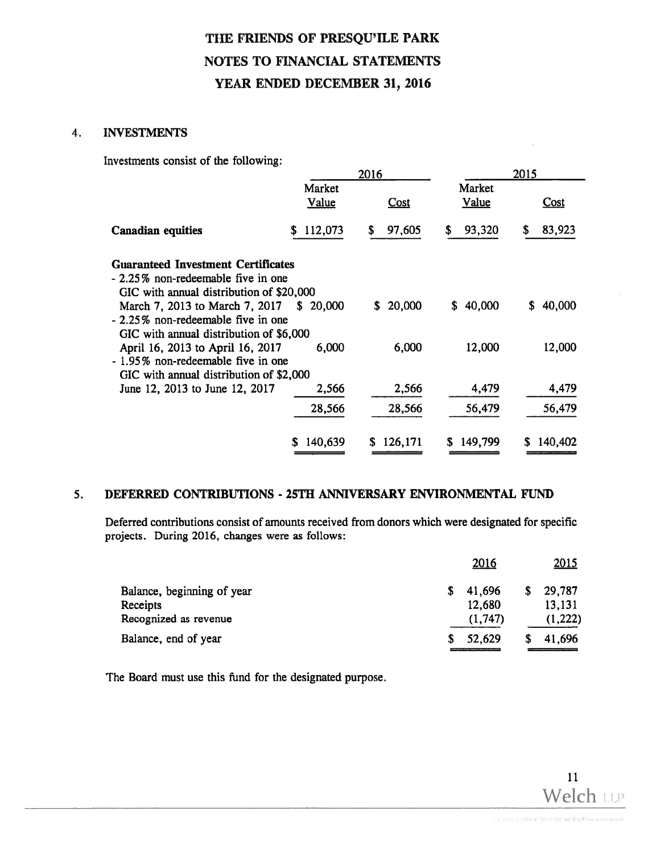#### 4. INVESTMENTS

Investments consist of the following:

|                                                                                                                             | 2016                   |              |                        | 2015         |  |
|-----------------------------------------------------------------------------------------------------------------------------|------------------------|--------------|------------------------|--------------|--|
|                                                                                                                             | Market<br><u>Value</u> | <b>Cost</b>  | Market<br><u>Value</u> | Cost         |  |
| <b>Canadian equities</b>                                                                                                    | 112,073<br>S.          | 97,605<br>S  | 93,320<br>S            | 83,923<br>\$ |  |
| <b>Guaranteed Investment Certificates</b><br>- 2.25% non-redeemable five in one<br>GIC with annual distribution of \$20,000 |                        |              |                        |              |  |
| March 7, 2013 to March 7, 2017<br>- 2.25% non-redeemable five in one<br>GIC with annual distribution of \$6,000             | \$20,000               | \$20,000     | 40,000<br>\$           | 40,000<br>\$ |  |
| April 16, 2013 to April 16, 2017<br>- 1.95% non-redeemable five in one<br>GIC with annual distribution of \$2,000           | 6,000                  | 6,000        | 12,000                 | 12,000       |  |
| June 12, 2013 to June 12, 2017                                                                                              | 2,566                  | 2,566        | 4,479                  | 4,479        |  |
|                                                                                                                             | 28,566                 | 28,566       | 56,479                 | 56,479       |  |
|                                                                                                                             | 140,639<br>S.          | 126,171<br>S | 149,799<br>S           | 140,402      |  |

#### 5. DEFERRED CONTRIBUTIONS - 25TH ANNIVERSARY ENVIRONMENTAL FUND

Deferred contributions consist of amounts received from donors which were designated for specific projects. During 2016, changes were as follows:

| Balance, end of year       | 52,629  |    | 41,696      |
|----------------------------|---------|----|-------------|
| Recognized as revenue      | (1,747) |    | (1,222)     |
| Receipts                   | 12,680  |    | 13,131      |
| Balance, beginning of year | 41,696  | S. | 29,787      |
|                            | 2016    |    | <u>2015</u> |

The Board must use this fund for the designated purpose.